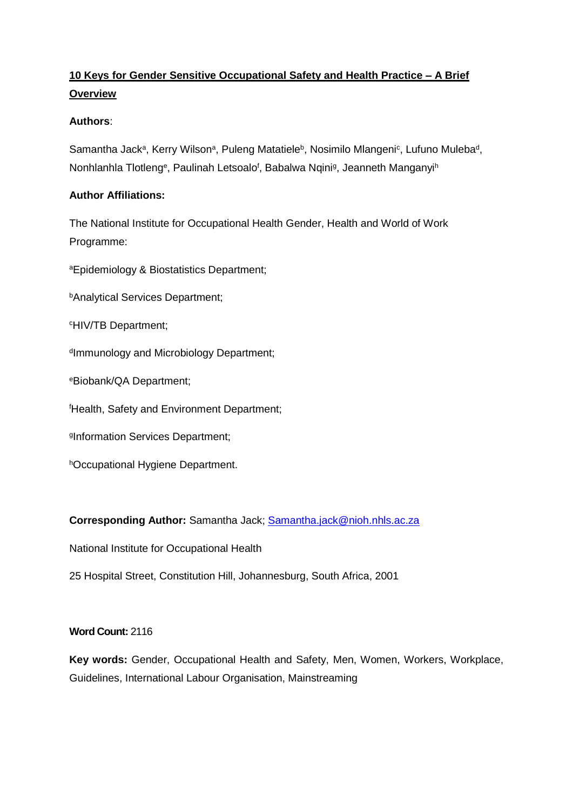# **10 Keys for Gender Sensitive Occupational Safety and Health Practice – A Brief Overview**

## **Authors**:

Samantha Jack<sup>a</sup>, Kerry Wilson<sup>a</sup>, Puleng Matatiele<sup>b</sup>, Nosimilo Mlangeni<sup>c</sup>, Lufuno Muleba<sup>d</sup>, Nonhlanhla Tlotleng<sup>e</sup>, Paulinah Letsoalo<sup>f</sup>, Babalwa Nqini<sup>g</sup>, Jeanneth Manganyi<sup>h</sup>

## **Author Affiliations:**

The National Institute for Occupational Health Gender, Health and World of Work Programme:

<sup>a</sup>Epidemiology & Biostatistics Department;

**bAnalytical Services Department;** 

<sup>c</sup>HIV/TB Department;

d Immunology and Microbiology Department;

<sup>e</sup>Biobank/QA Department;

<sup>f</sup>Health, Safety and Environment Department;

g Information Services Department;

hOccupational Hygiene Department.

**Corresponding Author:** Samantha Jack; [Samantha.jack@nioh.nhls.ac.za](mailto:Samantha.jack@nioh.nhls.ac.za)

National Institute for Occupational Health

25 Hospital Street, Constitution Hill, Johannesburg, South Africa, 2001

## **Word Count:** 2116

**Key words:** Gender, Occupational Health and Safety, Men, Women, Workers, Workplace, Guidelines, International Labour Organisation, Mainstreaming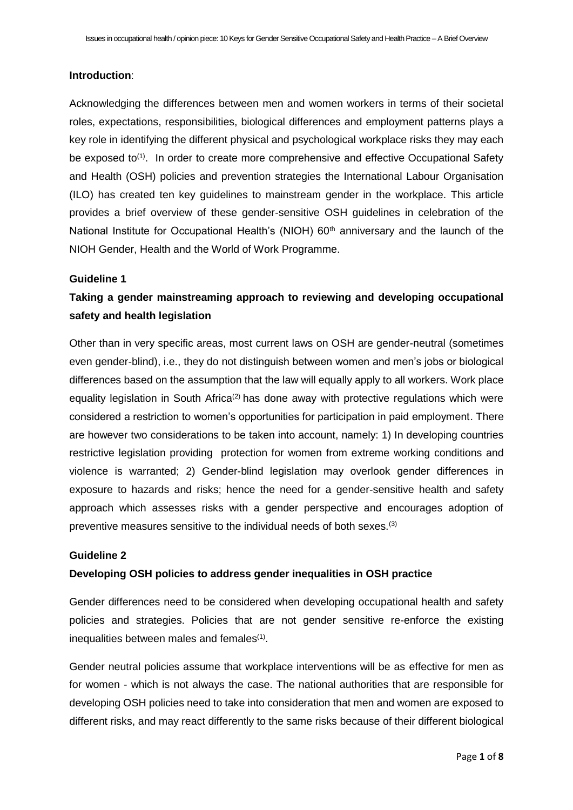## **Introduction**:

Acknowledging the differences between men and women workers in terms of their societal roles, expectations, responsibilities, biological differences and employment patterns plays a key role in identifying the different physical and psychological workplace risks they may each be exposed to<sup>(1)</sup>. In order to create more comprehensive and effective Occupational Safety and Health (OSH) policies and prevention strategies the International Labour Organisation (ILO) has created ten key guidelines to mainstream gender in the workplace. This article provides a brief overview of these gender-sensitive OSH guidelines in celebration of the National Institute for Occupational Health's (NIOH) 60<sup>th</sup> anniversary and the launch of the NIOH Gender, Health and the World of Work Programme.

#### **Guideline 1**

# **Taking a gender mainstreaming approach to reviewing and developing occupational safety and health legislation**

Other than in very specific areas, most current laws on OSH are gender-neutral (sometimes even gender-blind), i.e., they do not distinguish between women and men's jobs or biological differences based on the assumption that the law will equally apply to all workers. Work place equality legislation in South Africa<sup>(2)</sup> has done away with protective regulations which were considered a restriction to women's opportunities for participation in paid employment. There are however two considerations to be taken into account, namely: 1) In developing countries restrictive legislation providing protection for women from extreme working conditions and violence is warranted; 2) Gender-blind legislation may overlook gender differences in exposure to hazards and risks; hence the need for a gender-sensitive health and safety approach which assesses risks with a gender perspective and encourages adoption of preventive measures sensitive to the individual needs of both sexes.(3)

### **Guideline 2**

## **Developing OSH policies to address gender inequalities in OSH practice**

Gender differences need to be considered when developing occupational health and safety policies and strategies. Policies that are not gender sensitive re-enforce the existing inequalities between males and females<sup>(1)</sup>.

Gender neutral policies assume that workplace interventions will be as effective for men as for women - which is not always the case. The national authorities that are responsible for developing OSH policies need to take into consideration that men and women are exposed to different risks, and may react differently to the same risks because of their different biological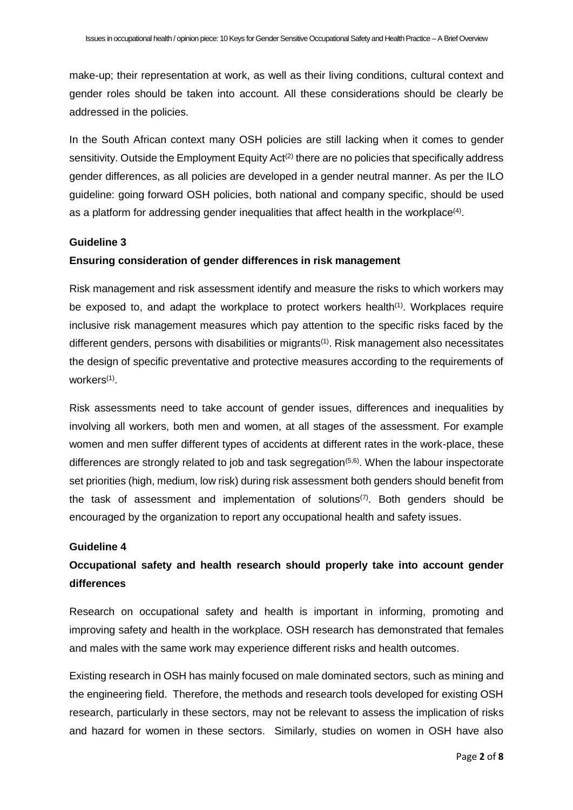make-up; their representation at work, as well as their living conditions, cultural context and gender roles should be taken into account. All these considerations should be clearly be addressed in the policies.

In the South African context many OSH policies are still lacking when it comes to gender sensitivity. Outside the Employment Equity Act<sup>(2)</sup> there are no policies that specifically address gender differences, as all policies are developed in a gender neutral manner. As per the ILO guideline: going forward OSH policies, both national and company specific, should be used as a platform for addressing gender inequalities that affect health in the workplace<sup>(4)</sup>.

## **Guideline 3**

## **Ensuring consideration of gender differences in risk management**

Risk management and risk assessment identify and measure the risks to which workers may be exposed to, and adapt the workplace to protect workers health<sup> $(1)$ </sup>. Workplaces require inclusive risk management measures which pay attention to the specific risks faced by the different genders, persons with disabilities or migrants<sup>(1)</sup>. Risk management also necessitates the design of specific preventative and protective measures according to the requirements of workers<sup>(1)</sup>.

Risk assessments need to take account of gender issues, differences and inequalities by involving all workers, both men and women, at all stages of the assessment. For example women and men suffer different types of accidents at different rates in the work-place, these differences are strongly related to job and task segregation $(5,6)$ . When the labour inspectorate set priorities (high, medium, low risk) during risk assessment both genders should benefit from the task of assessment and implementation of solutions<sup> $(7)$ </sup>. Both genders should be encouraged by the organization to report any occupational health and safety issues.

### **Guideline 4**

# **Occupational safety and health research should properly take into account gender differences**

Research on occupational safety and health is important in informing, promoting and improving safety and health in the workplace. OSH research has demonstrated that females and males with the same work may experience different risks and health outcomes.

Existing research in OSH has mainly focused on male dominated sectors, such as mining and the engineering field. Therefore, the methods and research tools developed for existing OSH research, particularly in these sectors, may not be relevant to assess the implication of risks and hazard for women in these sectors. Similarly, studies on women in OSH have also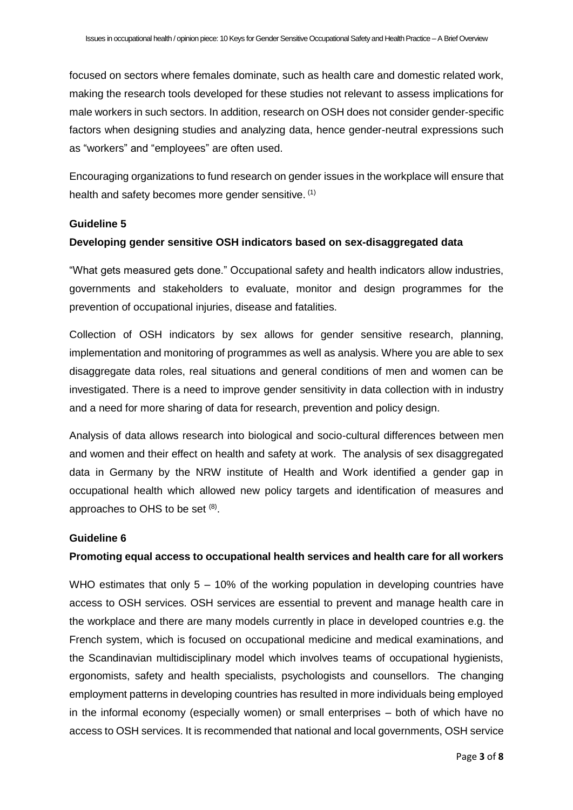focused on sectors where females dominate, such as health care and domestic related work, making the research tools developed for these studies not relevant to assess implications for male workers in such sectors. In addition, research on OSH does not consider gender-specific factors when designing studies and analyzing data, hence gender-neutral expressions such as "workers" and "employees" are often used.

Encouraging organizations to fund research on gender issues in the workplace will ensure that health and safety becomes more gender sensitive. (1)

#### **Guideline 5**

#### **Developing gender sensitive OSH indicators based on sex-disaggregated data**

"What gets measured gets done." Occupational safety and health indicators allow industries, governments and stakeholders to evaluate, monitor and design programmes for the prevention of occupational injuries, disease and fatalities.

Collection of OSH indicators by sex allows for gender sensitive research, planning, implementation and monitoring of programmes as well as analysis. Where you are able to sex disaggregate data roles, real situations and general conditions of men and women can be investigated. There is a need to improve gender sensitivity in data collection with in industry and a need for more sharing of data for research, prevention and policy design.

Analysis of data allows research into biological and socio-cultural differences between men and women and their effect on health and safety at work. The analysis of sex disaggregated data in Germany by the NRW institute of Health and Work identified a gender gap in occupational health which allowed new policy targets and identification of measures and approaches to OHS to be set (8).

#### **Guideline 6**

## **Promoting equal access to occupational health services and health care for all workers**

WHO estimates that only  $5 - 10\%$  of the working population in developing countries have access to OSH services. OSH services are essential to prevent and manage health care in the workplace and there are many models currently in place in developed countries e.g. the French system, which is focused on occupational medicine and medical examinations, and the Scandinavian multidisciplinary model which involves teams of occupational hygienists, ergonomists, safety and health specialists, psychologists and counsellors. The changing employment patterns in developing countries has resulted in more individuals being employed in the informal economy (especially women) or small enterprises – both of which have no access to OSH services. It is recommended that national and local governments, OSH service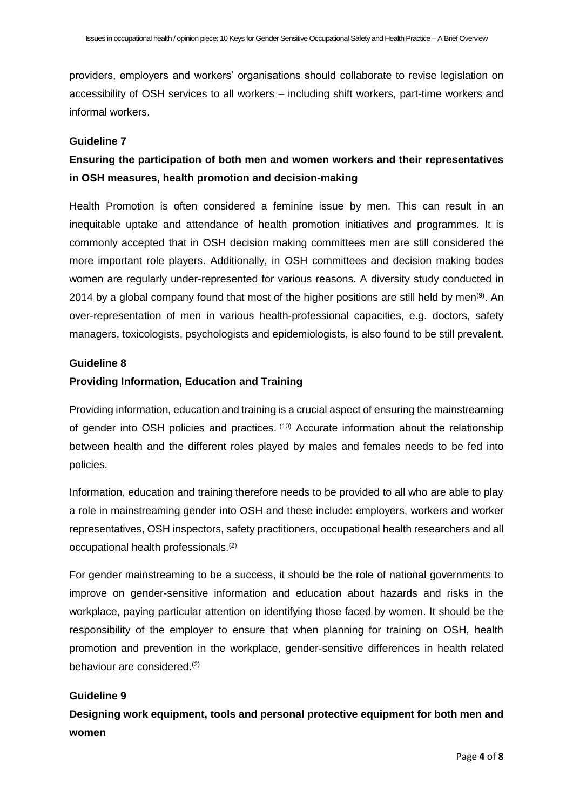providers, employers and workers' organisations should collaborate to revise legislation on accessibility of OSH services to all workers – including shift workers, part-time workers and informal workers.

## **Guideline 7**

# **Ensuring the participation of both men and women workers and their representatives in OSH measures, health promotion and decision-making**

Health Promotion is often considered a feminine issue by men. This can result in an inequitable uptake and attendance of health promotion initiatives and programmes. It is commonly accepted that in OSH decision making committees men are still considered the more important role players. Additionally, in OSH committees and decision making bodes women are regularly under-represented for various reasons. A diversity study conducted in 2014 by a global company found that most of the higher positions are still held by men<sup>(9)</sup>. An over-representation of men in various health-professional capacities, e.g. doctors, safety managers, toxicologists, psychologists and epidemiologists, is also found to be still prevalent.

## **Guideline 8**

## **Providing Information, Education and Training**

Providing information, education and training is a crucial aspect of ensuring the mainstreaming of gender into OSH policies and practices. (10) Accurate information about the relationship between health and the different roles played by males and females needs to be fed into policies.

Information, education and training therefore needs to be provided to all who are able to play a role in mainstreaming gender into OSH and these include: employers, workers and worker representatives, OSH inspectors, safety practitioners, occupational health researchers and all occupational health professionals.(2)

For gender mainstreaming to be a success, it should be the role of national governments to improve on gender-sensitive information and education about hazards and risks in the workplace, paying particular attention on identifying those faced by women. It should be the responsibility of the employer to ensure that when planning for training on OSH, health promotion and prevention in the workplace, gender-sensitive differences in health related behaviour are considered.(2)

#### **Guideline 9**

**Designing work equipment, tools and personal protective equipment for both men and women**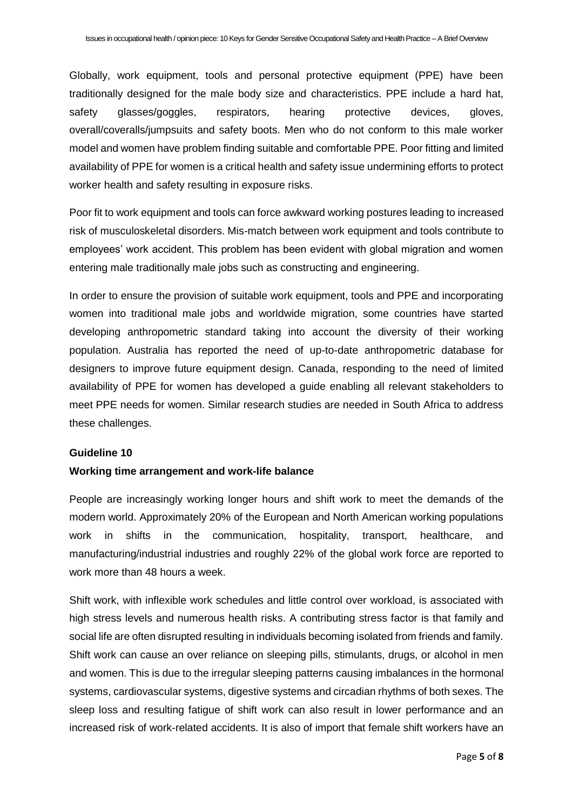Globally, work equipment, tools and personal protective equipment (PPE) have been traditionally designed for the male body size and characteristics. PPE include a hard hat, safety glasses/goggles, respirators, hearing protective devices, gloves, overall/coveralls/jumpsuits and safety boots. Men who do not conform to this male worker model and women have problem finding suitable and comfortable PPE. Poor fitting and limited availability of PPE for women is a critical health and safety issue undermining efforts to protect worker health and safety resulting in exposure risks.

Poor fit to work equipment and tools can force awkward working postures leading to increased risk of musculoskeletal disorders. Mis-match between work equipment and tools contribute to employees' work accident. This problem has been evident with global migration and women entering male traditionally male jobs such as constructing and engineering.

In order to ensure the provision of suitable work equipment, tools and PPE and incorporating women into traditional male jobs and worldwide migration, some countries have started developing anthropometric standard taking into account the diversity of their working population. Australia has reported the need of up-to-date anthropometric database for designers to improve future equipment design. Canada, responding to the need of limited availability of PPE for women has developed a guide enabling all relevant stakeholders to meet PPE needs for women. Similar research studies are needed in South Africa to address these challenges.

#### **Guideline 10**

#### **Working time arrangement and work-life balance**

People are increasingly working longer hours and shift work to meet the demands of the modern world. Approximately 20% of the European and North American working populations work in shifts in the communication, hospitality, transport, healthcare, and manufacturing/industrial industries and roughly 22% of the global work force are reported to work more than 48 hours a week.

Shift work, with inflexible work schedules and little control over workload, is associated with high stress levels and numerous health risks. A contributing stress factor is that family and social life are often disrupted resulting in individuals becoming isolated from friends and family. Shift work can cause an over reliance on sleeping pills, stimulants, drugs, or alcohol in men and women. This is due to the irregular sleeping patterns causing imbalances in the hormonal systems, cardiovascular systems, digestive systems and circadian rhythms of both sexes. The sleep loss and resulting fatigue of shift work can also result in lower performance and an increased risk of work-related accidents. It is also of import that female shift workers have an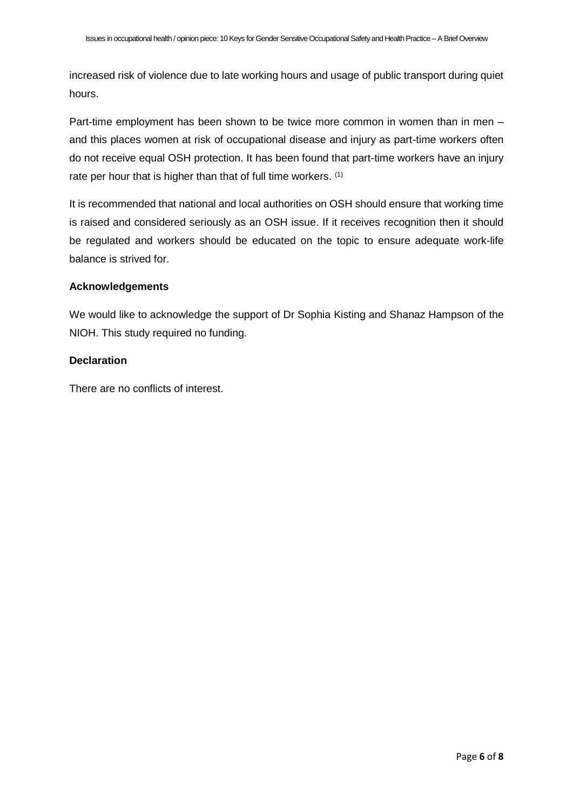increased risk of violence due to late working hours and usage of public transport during quiet hours.

Part-time employment has been shown to be twice more common in women than in men – and this places women at risk of occupational disease and injury as part-time workers often do not receive equal OSH protection. It has been found that part-time workers have an injury rate per hour that is higher than that of full time workers. (1)

It is recommended that national and local authorities on OSH should ensure that working time is raised and considered seriously as an OSH issue. If it receives recognition then it should be regulated and workers should be educated on the topic to ensure adequate work-life balance is strived for.

## **Acknowledgements**

We would like to acknowledge the support of Dr Sophia Kisting and Shanaz Hampson of the NIOH. This study required no funding.

## **Declaration**

There are no conflicts of interest.